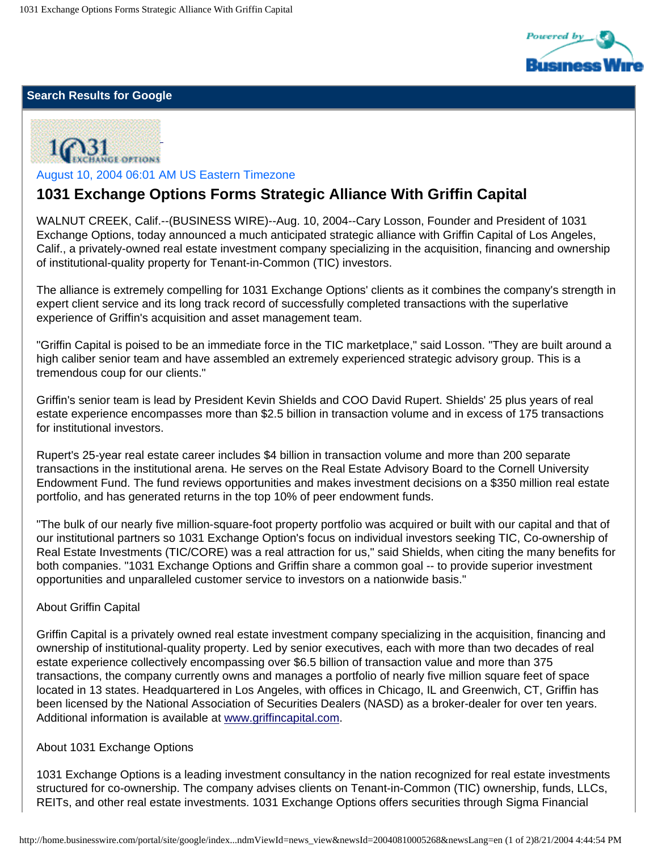

### **Search Results for Google**



August 10, 2004 06:01 AM US Eastern Timezone

# **1031 Exchange Options Forms Strategic Alliance With Griffin Capital**

WALNUT CREEK, Calif.--(BUSINESS WIRE)--Aug. 10, 2004--Cary Losson, Founder and President of 1031 Exchange Options, today announced a much anticipated strategic alliance with Griffin Capital of Los Angeles, Calif., a privately-owned real estate investment company specializing in the acquisition, financing and ownership of institutional-quality property for Tenant-in-Common (TIC) investors.

The alliance is extremely compelling for 1031 Exchange Options' clients as it combines the company's strength in expert client service and its long track record of successfully completed transactions with the superlative experience of Griffin's acquisition and asset management team.

"Griffin Capital is poised to be an immediate force in the TIC marketplace," said Losson. "They are built around a high caliber senior team and have assembled an extremely experienced strategic advisory group. This is a tremendous coup for our clients."

Griffin's senior team is lead by President Kevin Shields and COO David Rupert. Shields' 25 plus years of real estate experience encompasses more than \$2.5 billion in transaction volume and in excess of 175 transactions for institutional investors.

Rupert's 25-year real estate career includes \$4 billion in transaction volume and more than 200 separate transactions in the institutional arena. He serves on the Real Estate Advisory Board to the Cornell University Endowment Fund. The fund reviews opportunities and makes investment decisions on a \$350 million real estate portfolio, and has generated returns in the top 10% of peer endowment funds.

"The bulk of our nearly five million-square-foot property portfolio was acquired or built with our capital and that of our institutional partners so 1031 Exchange Option's focus on individual investors seeking TIC, Co-ownership of Real Estate Investments (TIC/CORE) was a real attraction for us," said Shields, when citing the many benefits for both companies. "1031 Exchange Options and Griffin share a common goal -- to provide superior investment opportunities and unparalleled customer service to investors on a nationwide basis."

#### About Griffin Capital

Griffin Capital is a privately owned real estate investment company specializing in the acquisition, financing and ownership of institutional-quality property. Led by senior executives, each with more than two decades of real estate experience collectively encompassing over \$6.5 billion of transaction value and more than 375 transactions, the company currently owns and manages a portfolio of nearly five million square feet of space located in 13 states. Headquartered in Los Angeles, with offices in Chicago, IL and Greenwich, CT, Griffin has been licensed by the National Association of Securities Dealers (NASD) as a broker-dealer for over ten years. Additional information is available at [www.griffincapital.com.](http://www.griffincapital.com/)

#### About 1031 Exchange Options

1031 Exchange Options is a leading investment consultancy in the nation recognized for real estate investments structured for co-ownership. The company advises clients on Tenant-in-Common (TIC) ownership, funds, LLCs, REITs, and other real estate investments. 1031 Exchange Options offers securities through Sigma Financial